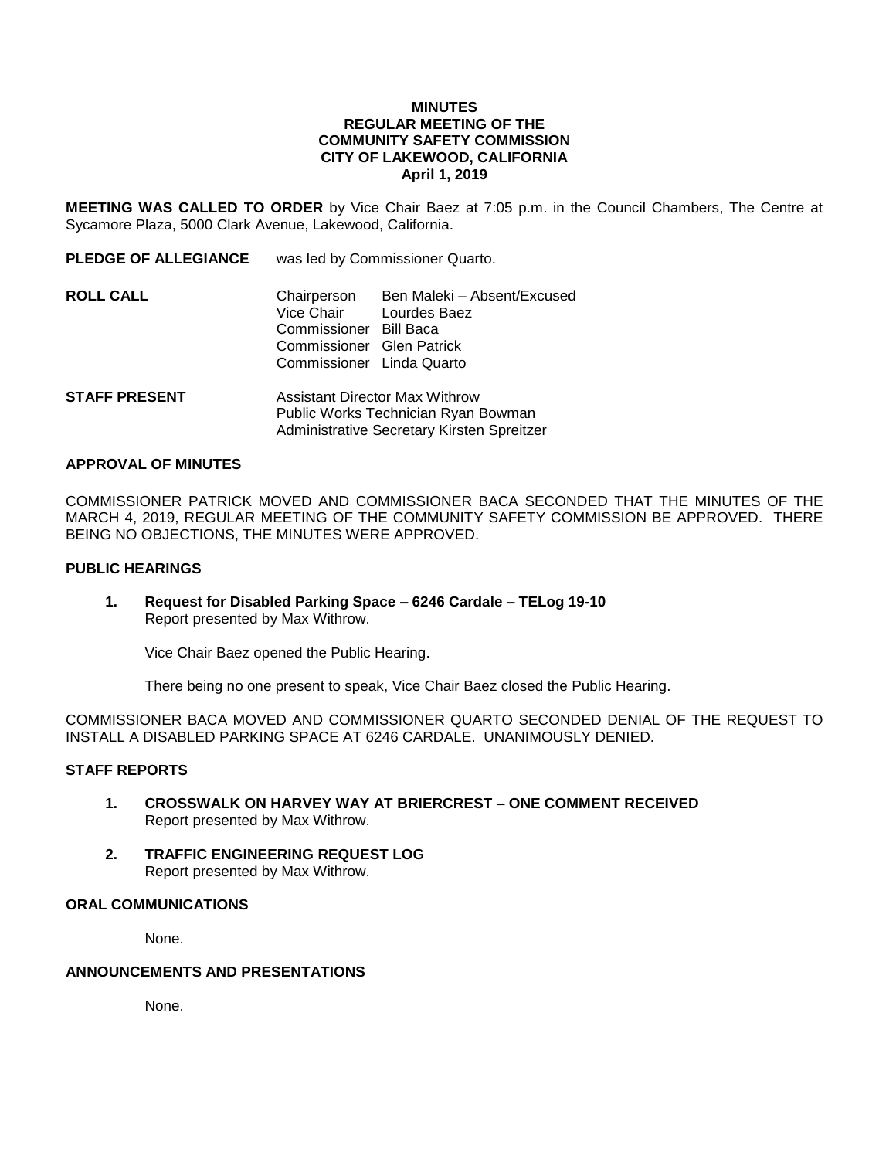#### **MINUTES REGULAR MEETING OF THE COMMUNITY SAFETY COMMISSION CITY OF LAKEWOOD, CALIFORNIA April 1, 2019**

**MEETING WAS CALLED TO ORDER** by Vice Chair Baez at 7:05 p.m. in the Council Chambers, The Centre at Sycamore Plaza, 5000 Clark Avenue, Lakewood, California.

**PLEDGE OF ALLEGIANCE** was led by Commissioner Quarto.

- **ROLL CALL** Chairperson Ben Maleki Absent/Excused Vice Chair Lourdes Baez Commissioner Bill Baca Commissioner Glen Patrick Commissioner Linda Quarto **STAFF PRESENT** Assistant Director Max Withrow
- Public Works Technician Ryan Bowman Administrative Secretary Kirsten Spreitzer

#### **APPROVAL OF MINUTES**

COMMISSIONER PATRICK MOVED AND COMMISSIONER BACA SECONDED THAT THE MINUTES OF THE MARCH 4, 2019, REGULAR MEETING OF THE COMMUNITY SAFETY COMMISSION BE APPROVED. THERE BEING NO OBJECTIONS, THE MINUTES WERE APPROVED.

## **PUBLIC HEARINGS**

**1. Request for Disabled Parking Space – 6246 Cardale – TELog 19-10** Report presented by Max Withrow.

Vice Chair Baez opened the Public Hearing.

There being no one present to speak, Vice Chair Baez closed the Public Hearing.

COMMISSIONER BACA MOVED AND COMMISSIONER QUARTO SECONDED DENIAL OF THE REQUEST TO INSTALL A DISABLED PARKING SPACE AT 6246 CARDALE. UNANIMOUSLY DENIED.

#### **STAFF REPORTS**

- **1. CROSSWALK ON HARVEY WAY AT BRIERCREST – ONE COMMENT RECEIVED** Report presented by Max Withrow.
- **2. TRAFFIC ENGINEERING REQUEST LOG** Report presented by Max Withrow.

### **ORAL COMMUNICATIONS**

None.

#### **ANNOUNCEMENTS AND PRESENTATIONS**

None.